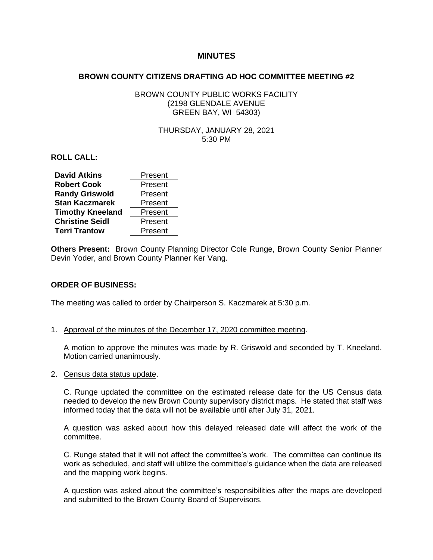# **MINUTES**

#### **BROWN COUNTY CITIZENS DRAFTING AD HOC COMMITTEE MEETING #2**

# BROWN COUNTY PUBLIC WORKS FACILITY (2198 GLENDALE AVENUE GREEN BAY, WI 54303)

## THURSDAY, JANUARY 28, 2021 5:30 PM

**ROLL CALL:**

| <b>David Atkins</b>     | Present |
|-------------------------|---------|
| <b>Robert Cook</b>      | Present |
| <b>Randy Griswold</b>   | Present |
| <b>Stan Kaczmarek</b>   | Present |
| <b>Timothy Kneeland</b> | Present |
| <b>Christine Seidl</b>  | Present |
| <b>Terri Trantow</b>    | Present |

**Others Present:** Brown County Planning Director Cole Runge, Brown County Senior Planner Devin Yoder, and Brown County Planner Ker Vang.

# **ORDER OF BUSINESS:**

The meeting was called to order by Chairperson S. Kaczmarek at 5:30 p.m.

1. Approval of the minutes of the December 17, 2020 committee meeting.

A motion to approve the minutes was made by R. Griswold and seconded by T. Kneeland. Motion carried unanimously.

2. Census data status update.

C. Runge updated the committee on the estimated release date for the US Census data needed to develop the new Brown County supervisory district maps. He stated that staff was informed today that the data will not be available until after July 31, 2021.

A question was asked about how this delayed released date will affect the work of the committee.

C. Runge stated that it will not affect the committee's work. The committee can continue its work as scheduled, and staff will utilize the committee's guidance when the data are released and the mapping work begins.

A question was asked about the committee's responsibilities after the maps are developed and submitted to the Brown County Board of Supervisors.